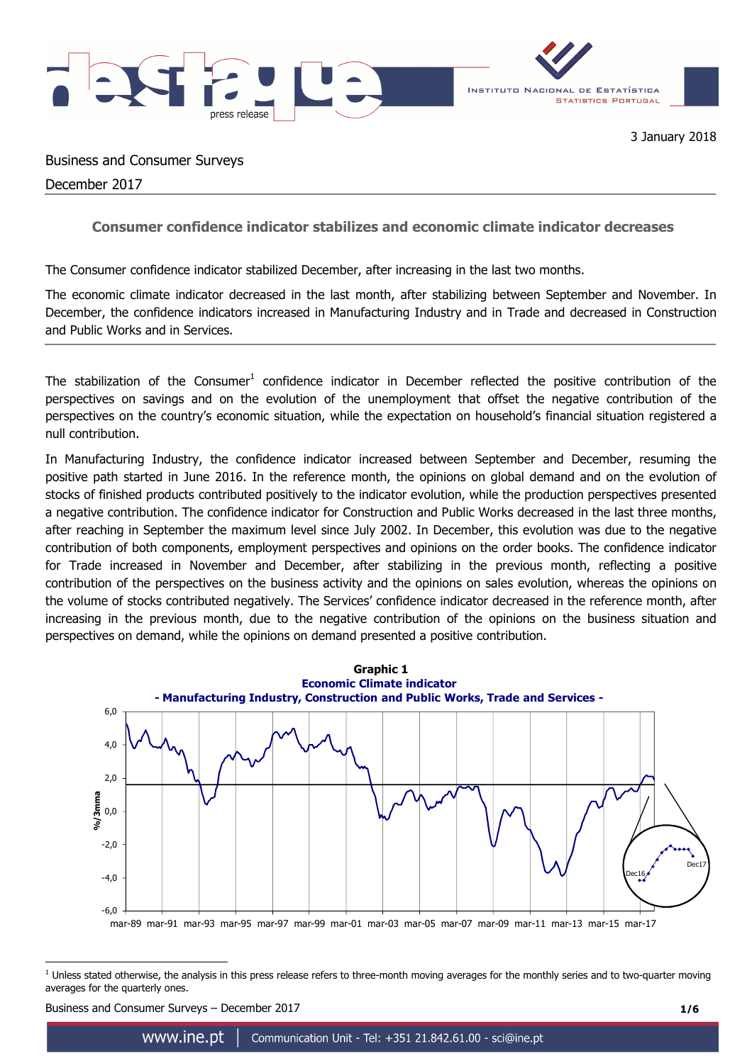

Business and Consumer Surveys

December 2017

# **Consumer confidence indicator stabilizes and economic climate indicator decreases**

The Consumer confidence indicator stabilized December, after increasing in the last two months.

The economic climate indicator decreased in the last month, after stabilizing between September and November. In December, the confidence indicators increased in Manufacturing Industry and in Trade and decreased in Construction and Public Works and in Services.

The stabilization of the Consumer<sup>1</sup> confidence indicator in December reflected the positive contribution of the perspectives on savings and on the evolution of the unemployment that offset the negative contribution of the perspectives on the country's economic situation, while the expectation on household's financial situation registered a null contribution.

In Manufacturing Industry, the confidence indicator increased between September and December, resuming the positive path started in June 2016. In the reference month, the opinions on global demand and on the evolution of stocks of finished products contributed positively to the indicator evolution, while the production perspectives presented a negative contribution. The confidence indicator for Construction and Public Works decreased in the last three months, after reaching in September the maximum level since July 2002. In December, this evolution was due to the negative contribution of both components, employment perspectives and opinions on the order books. The confidence indicator for Trade increased in November and December, after stabilizing in the previous month, reflecting a positive contribution of the perspectives on the business activity and the opinions on sales evolution, whereas the opinions on the volume of stocks contributed negatively. The Services' confidence indicator decreased in the reference month, after increasing in the previous month, due to the negative contribution of the opinions on the business situation and perspectives on demand, while the opinions on demand presented a positive contribution.



 $\overline{a}$  $<sup>1</sup>$  Unless stated otherwise, the analysis in this press release refers to three-month moving averages for the monthly series and to two-quarter moving</sup> averages for the quarterly ones.

Business and Consumer Surveys – December 2017 **1/6**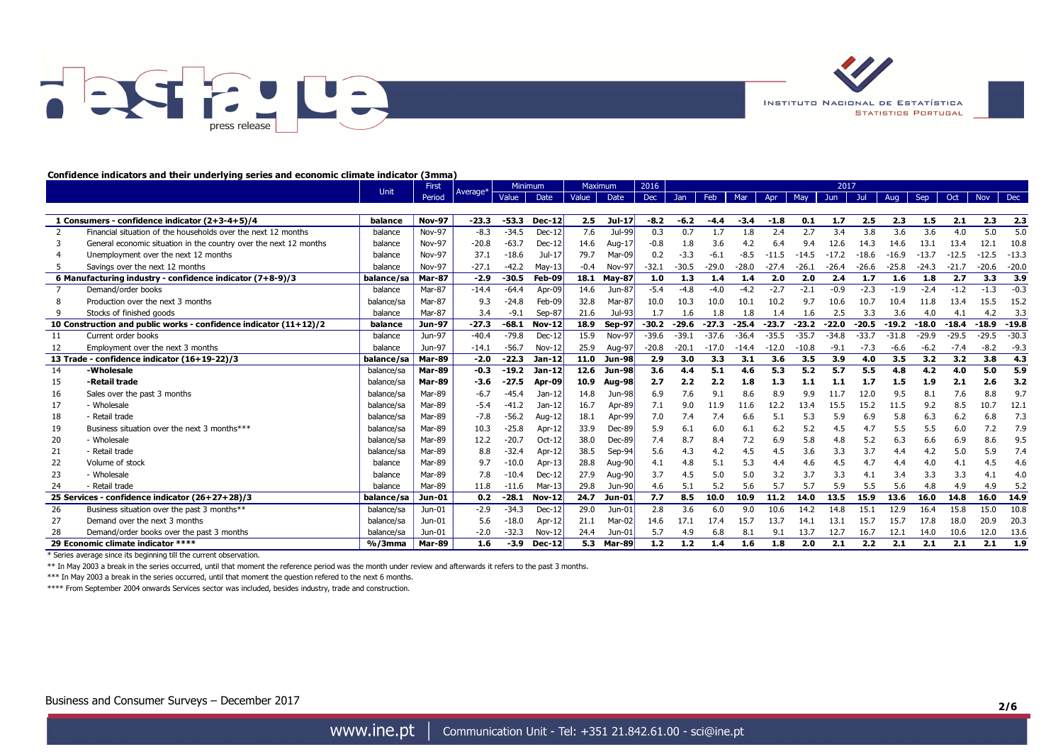



#### **Confidence indicators and their underlying series and economic climate indicator (3mma)**

|    |                                                                     |            | First         |          | <b>Minimum</b> |               | Maximum |               | 2016    | 2017    |         |         |         |         |         |         |         |         |         |            |            |
|----|---------------------------------------------------------------------|------------|---------------|----------|----------------|---------------|---------|---------------|---------|---------|---------|---------|---------|---------|---------|---------|---------|---------|---------|------------|------------|
|    |                                                                     | Unit       | Period        | Average* | Value          | Date          | Value   | Date          | Dec     | Jan     | Feb     | Mar     | Apr     | May     | Jun     | Jul     | Aug     | Sep     | Oct     | <b>Nov</b> | <b>Dec</b> |
|    |                                                                     |            |               |          |                |               |         |               |         |         |         |         |         |         |         |         |         |         |         |            |            |
|    | 1 Consumers - confidence indicator (2+3-4+5)/4                      | balance    | <b>Nov-97</b> | $-23.3$  | $-53.3$        | $Dec-12$      | 2.5     | $Jul-17$      | $-8.2$  | $-6.2$  | $-4.4$  | $-3.4$  | $-1.8$  | 0.1     | 1.7     | 2.5     | 2.3     | 1.5     | 2.1     | 2.3        | 2.3        |
|    | Financial situation of the households over the next 12 months       | balance    | <b>Nov-97</b> | $-8.3$   | $-34.5$        | $Dec-12$      | 7.6     | Jul-99        | 0.3     | 0.7     | 1.7     | 1.8     | 2.4     | 2.7     | 3.4     | 3.8     | 3.6     | 3.6     | 4.0     | 5.0        | 5.0        |
| 3  | General economic situation in the country over the next 12 months   | balance    | <b>Nov-97</b> | $-20.8$  | $-63.7$        | $Dec-12$      | 14.6    | Aug- $17$     | $-0.8$  | 1.8     | 3.6     | 4.2     | 6.4     | 9.4     | 12.6    | 14.3    | 14.6    | 13.1    | 13.4    | 12.1       | 10.8       |
|    | Unemployment over the next 12 months                                | balance    | Nov-97        | 37.1     | $-18.6$        | $Jul-17$      | 79.7    | Mar-09        | 0.2     | $-3.3$  | $-6.1$  | $-8.5$  | $-11.5$ | $-14.5$ | $-17.2$ | $-18.6$ | $-16.9$ | $-13.7$ | $-12.5$ | $-12.$     | $-13.3$    |
|    | Savings over the next 12 months                                     | balance    | <b>Nov-97</b> | $-27.1$  | $-42.2$        | $May-13$      | $-0.4$  | Nov-97        | $-32.1$ | $-30.5$ | $-29.0$ | $-28.0$ | $-27.4$ | $-26.1$ | $-26.4$ | $-26.6$ | $-25.8$ | $-24.3$ | $-21.7$ | $-20.6$    | $-20.0$    |
|    | 6 Manufacturing industry - confidence indicator (7+8-9)/3           | balance/sa | <b>Mar-87</b> | $-2.9$   | $-30.5$        | Feb-09        | 18.1    | <b>May-87</b> | 1.0     | 1.3     | 1.4     | 1.4     | 2.0     | 2.0     | 2.4     | 1.7     | 1.6     | 1.8     | 2.7     | 3.3        | 3.9        |
|    | Demand/order books                                                  | balance    | Mar-87        | $-14.4$  | $-64.4$        | Apr-09        | 14.6    | Jun-87        | $-5.4$  | $-4.8$  | $-4.0$  | $-4.2$  | $-2.7$  | $-2.1$  | $-0.9$  | $-2.3$  | $-1.9$  | $-2.4$  | $-1.2$  | $-1.3$     | $-0.3$     |
|    | Production over the next 3 months                                   | balance/sa | Mar-87        | 9.3      | $-24.8$        | Feb-09        | 32.8    | Mar-87        | 10.0    | 10.3    | 10.0    | 10.1    | 10.2    | 9.7     | 10.6    | 10.7    | 10.4    | 11.8    | 13.4    | 15.5       | 15.2       |
|    | Stocks of finished goods                                            | balance    | Mar-87        | 3.4      | -9.1           | $Sep-87$      | 21.6    | Jul-93        | 1.7     | 1.6     | 1.8     | 1.8     | 1.4     | 1.6     | 2.5     | 3.3     | 3.6     | 4.0     | 4.1     | 4.2        | 3.3        |
|    | 10 Construction and public works - confidence indicator $(11+12)/2$ | balance    | Jun-97        | $-27.3$  | $-68.1$        | <b>Nov-12</b> | 18.9    | <b>Sep-97</b> | $-30.2$ | $-29.6$ | $-27.3$ | $-25.4$ | $-23.7$ | $-23.2$ | $-22.0$ | $-20.5$ | $-19.2$ | $-18.0$ | $-18.4$ | $-18.9$    | $-19.8$    |
| 11 | Current order books                                                 | balance    | Jun-97        | $-40.4$  | $-79.8$        | $Dec-12$      | 15.9    | Nov-97        | $-39.6$ | $-39.1$ | $-37.6$ | $-36.4$ | $-35.5$ | $-35.7$ | $-34.8$ | $-33.7$ | $-31.8$ | $-29.9$ | $-29.5$ | $-29.5$    | $-30.3$    |
| 12 | Employment over the next 3 months                                   | balance    | Jun-97        | $-14.1$  | $-56.7$        | Nov-12        | 25.9    | Aug-97        | $-20.8$ | $-20.1$ | $-17.0$ | $-14.4$ | $-12.0$ | $-10.8$ | $-9.1$  | $-7.3$  | $-6.6$  | $-6.2$  | $-7.4$  | $-8.2$     | $-9.3$     |
|    | 13 Trade - confidence indicator (16+19-22)/3                        | balance/sa | Mar-89        | $-2.0$   | $-22.3$        | Jan-12        | 11.0    | <b>Jun-98</b> | 2.9     | 3.0     | 3.3     | 3.1     | 3.6     | 3.5     | 3.9     | 4.0     | 3.5     | 3.2     | 3.2     | 3.8        | 4.3        |
| 14 | -Wholesale                                                          | balance/sa | <b>Mar-89</b> | $-0.3$   | $-19.2$        | Jan-12        | 12.6    | <b>Jun-98</b> | 3.6     | 4.4     | 5.1     | 4.6     | 5.3     | 5.2     | 5.7     | 5.5     | 4.8     | 4.2     | 4.0     | 5.0        | 5.9        |
| 15 | -Retail trade                                                       | balance/sa | <b>Mar-89</b> | $-3.6$   | $-27.5$        | Apr-09        | 10.9    | Aug-98        | 2.7     | 2.2     | 2.2     | 1.8     | 1.3     | 1.1     | 1.1     | 1.7     | 1.5     | 1.9     | 2.1     | 2.6        | 3.2        |
| 16 | Sales over the past 3 months                                        | balance/sa | Mar-89        | -6.7     | $-45.4$        | Jan-12        | 14.8    | Jun-98        | 6.9     | 7.6     | 9.1     | 8.6     | 8.9     | 9.9     | 11.7    | 12.0    | 9.5     | 8.1     | 7.6     | 8.8        | 9.7        |
| 17 | - Wholesale                                                         | balance/sa | Mar-89        | $-5.4$   | $-41.2$        | Jan-12        | 16.7    | Apr-89        | 7.1     | 9.0     | 11.9    | 11.6    | 12.2    | 13.4    | 15.5    | 15.2    | 11.5    | 9.2     | 8.5     | 10.7       | 12.1       |
| 18 | - Retail trade                                                      | balance/sa | Mar-89        | $-7.8$   | $-56.2$        | Aug-12        | 18.1    | Apr-99        | 7.0     | 7.4     | 7.4     | 6.6     | 5.1     | 5.3     | 5.9     | 6.9     | 5.8     | 6.3     | 6.2     | 6.8        | 7.3        |
| 19 | Business situation over the next 3 months***                        | balance/sa | Mar-89        | 10.3     | $-25.8$        | Apr-12        | 33.9    | Dec-89        | 5.9     | 6.1     | 6.0     | 6.1     | 6.2     | 5.2     | 4.5     | 4.7     | 5.5     | 5.5     | 6.0     | 7.2        | 7.9        |
| 20 | - Wholesale                                                         | balance/sa | Mar-89        | 12.2     | $-20.7$        | $Oct-12$      | 38.0    | Dec-89        | 7.4     | 8.7     | 8.4     | 7.2     | 6.9     | 5.8     | 4.8     | 5.2     | 6.3     | 6.6     | 6.9     | 8.6        | 9.5        |
| 21 | - Retail trade                                                      | balance/sa | Mar-89        | 8.8      | $-32.4$        | Apr-12        | 38.5    | Sep-94        | 5.6     | 4.3     | 4.2     | 4.5     | 4.5     | 3.6     | 3.3     | 3.7     | 4.4     | 4.2     | 5.0     | 5.9        | 7.4        |
| 22 | Volume of stock                                                     | balance    | Mar-89        | 9.7      | $-10.0$        | Apr-13        | 28.8    | Aug-90        | 4.1     | 4.8     | 5.1     | 5.3     | 4.4     | 4.6     | 4.5     | 4.7     | 4.4     | 4.0     | 4.1     | 4.5        | 4.6        |
| 23 | - Wholesale                                                         | balance    | Mar-89        | 7.8      | $-10.4$        | $Dec-12$      | 27.9    | Aug-90        | 3.7     | 4.5     | 5.0     | 5.0     | 3.2     | 3.7     | 3.3     | 4.1     | 3.4     | 3.3     | 3.3     | 4.1        | 4.0        |
| 24 | - Retail trade                                                      | balance    | Mar-89        | 11.8     | $-11.6$        | $Mar-13$      | 29.8    | Jun-90        | 4.6     | 5.1     | 5.2     | 5.6     | 5.7     | 5.7     | 5.9     | 5.5     | 5.6     | 4.8     | 4.9     | 4.9        | 5.2        |
|    | 25 Services - confidence indicator (26+27+28)/3                     | balance/sa | Jun-01        | 0.2      | $-28.1$        | <b>Nov-12</b> | 24.7    | Jun-01        | 7.7     | 8.5     | 10.0    | 10.9    | 11.2    | 14.0    | 13.5    | 15.9    | 13.6    | 16.0    | 14.8    | 16.0       | 14.9       |
| 26 | Business situation over the past 3 months**                         | balance/sa | Jun-01        | $-2.9$   | $-34.3$        | $Dec-12$      | 29.0    | $Jun-01$      | 2.8     | 3.6     | 6.0     | 9.0     | 10.6    | 14.2    | 14.8    | 15.1    | 12.9    | 16.4    | 15.8    | 15.0       | 10.8       |
| 27 | Demand over the next 3 months                                       | balance/sa | Jun-01        | 5.6      | $-18.0$        | Apr-12        | 21.1    | Mar-02        | 14.6    | 17.1    | 17.4    | 15.7    | 13.7    | 14.1    | 13.1    | 15.7    | 15.7    | 17.8    | 18.0    | 20.9       | 20.3       |
| 28 | Demand/order books over the past 3 months                           | balance/sa | Jun-01        | $-2.0$   | $-32.3$        | $Nov-12$      | 24.4    | $Jun-01$      | 5.7     | 4.9     | 6.8     | 8.1     | 9.1     | 13.7    | 12.7    | 16.7    | 12.1    | 14.0    | 10.6    | 12.0       | 13.6       |
|    | 29 Economic climate indicator ****                                  |            | <b>Mar-89</b> | 1.6      | $-3.9$         | <b>Dec-12</b> | 5.3     | <b>Mar-89</b> | 1.2     | 1.2     | 1.4     | 1.6     | 1.8     | 2.0     | 2.1     | 2.2     | 2.1     | 2.1     | 2.1     | 2.1        | 1.9        |
|    | * Series average since its beginning till the current observation.  |            |               |          |                |               |         |               |         |         |         |         |         |         |         |         |         |         |         |            |            |

\*\* In May 2003 a break in the series occurred, until that moment the reference period was the month under review and afterwards it refers to the past 3 months.

\*\*\* In May 2003 a break in the series occurred, until that moment the question refered to the next 6 months.

\*\*\*\* From September 2004 onwards Services sector was included, besides industry, trade and construction.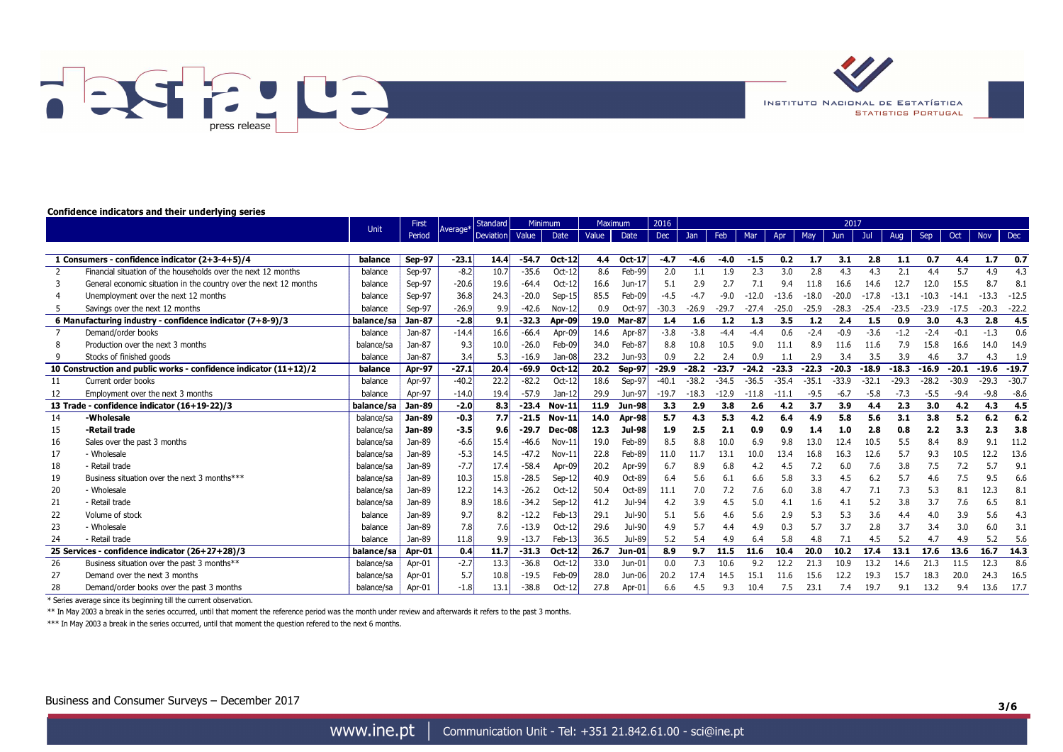

**INSTITUTO NACIONAL DE ESTATÍSTICA STATISTICS PORTUGAL** 

#### **Confidence indicators and their underlying series**

|                      |                                                                                                                                                                                                                                                                                                                                                                                   | <b>Unit</b> | First            | <b>Standard</b>      |                      | <b>Minimum</b>     |                  | Maximum              |                            | 2016    | 2017    |         |         |         |         |         |             |         |         |         |            |            |
|----------------------|-----------------------------------------------------------------------------------------------------------------------------------------------------------------------------------------------------------------------------------------------------------------------------------------------------------------------------------------------------------------------------------|-------------|------------------|----------------------|----------------------|--------------------|------------------|----------------------|----------------------------|---------|---------|---------|---------|---------|---------|---------|-------------|---------|---------|---------|------------|------------|
|                      |                                                                                                                                                                                                                                                                                                                                                                                   |             | Period           | Average <sup>*</sup> | Deviation            | Value              | Date             | Value                | Date                       | Dec     | Jan     | Feb     | Mar     | Apr     | May     | Jun     | Jul         | Aug     | Sep     | Oct     | <b>Nov</b> | <b>Dec</b> |
|                      |                                                                                                                                                                                                                                                                                                                                                                                   |             |                  |                      |                      |                    |                  |                      |                            |         |         |         |         |         |         |         |             |         |         |         |            |            |
|                      | 1 Consumers - confidence indicator (2+3-4+5)/4                                                                                                                                                                                                                                                                                                                                    | balance     | <b>Sep-97</b>    | $-23.1$              | 14.4                 | $-54.7$            | <b>Oct-12</b>    | 4.4                  | <b>Oct-17</b>              | $-4.7$  | -4.6    | $-4.0$  | $-1.5$  | 0.2     | 1.7     | 3.1     | 2.8         | 1.1     | 0.7     | 4.4     | 1.7        | 0.7        |
|                      | Financial situation of the households over the next 12 months                                                                                                                                                                                                                                                                                                                     | balance     | Sep-97           | $-8.2$               | 10.7                 | $-35.6$            | $Oct-12$         | 8.6                  | Feb-99                     | 2.0     | 1.1     | 1.9     | 2.3     | 3.0     | 2.8     | 4.3     | 4.3         | 2.1     | 4.4     | 5.7     | 4.9        | 4.3        |
|                      | General economic situation in the country over the next 12 months                                                                                                                                                                                                                                                                                                                 | balance     | Sep-97           | $-20.6$              | 19.6                 | $-64.4$            | $Oct-12$         | 16.6                 | $Jun-17$                   | 5.1     | 2.9     | 2.7     | 7.1     | 9.4     | 11.8    | 16.6    | 14.6        | 12.7    | 12.0    | 15.5    |            | 8.1        |
|                      | Unemployment over the next 12 months                                                                                                                                                                                                                                                                                                                                              | balance     | Sep-97           | 36.8                 | 24.3                 | $-20.0$            | $Sep-15$         | 85.5                 | Feb-09                     | $-4.5$  | -4.7    | $-9.0$  | $-12.0$ | $-13.6$ | $-18.0$ | $-20.0$ | $-17.8$     | $-13.1$ | $-10.3$ | $-14.1$ | $-13.3$    | $-12.5$    |
|                      | Savings over the next 12 months                                                                                                                                                                                                                                                                                                                                                   | balance     | Sep-97           | $-26.9$              | 9.9                  | $-42.6$            | Nov-12           | 0.9                  | Oct-97                     | $-30.3$ | $-26.9$ | $-29.7$ | $-27.4$ | $-25.0$ | $-25.9$ | $-28.3$ | $-25.4$     | $-23.5$ | $-23.9$ | $-17.5$ | $-20.3$    | $-22.2$    |
|                      | 6 Manufacturing industry - confidence indicator (7+8-9)/3                                                                                                                                                                                                                                                                                                                         | balance/sa  | Jan-87           | $-2.8$               | 9.1                  | $-32.3$            | Apr-09           | 19.0                 | <b>Mar-87</b>              | 1.4     | 1.6     | 1.2     | 1.3     | 3.5     | 1.2     | 2.4     | 1.5         | 0.9     | 3.0     | 4.3     | 2.8        | 4.5        |
|                      | Demand/order books                                                                                                                                                                                                                                                                                                                                                                | balance     | Jan-87           | $-14.4$              | 16.6                 | $-66.4$            | Apr-09           | 14.6                 | Apr-87                     | $-3.8$  | $-3.8$  | $-4.4$  | $-4.4$  | 0.6     | $-2.4$  | $-0.9$  | $-3.6$      | $-1.2$  | $-2.4$  | $-0.1$  | $-1.3$     | 0.6        |
|                      | Production over the next 3 months                                                                                                                                                                                                                                                                                                                                                 | balance/sa  | Jan-87           | 9.3                  | 10.0                 | $-26.0$            | Feb-09           | 34.0                 | Feb-87                     | 8.8     | 10.8    | 10.5    | 9.0     | 11.1    | 8.9     | 11.6    | 11.6        | 7.9     | 15.8    | 16.6    | 14.0       | 14.9       |
|                      | Stocks of finished goods                                                                                                                                                                                                                                                                                                                                                          | balance     | Jan-87           | 3.4                  | 5.3                  | $-16.9$            | Jan-08           | 23.2                 | Jun-93                     | 0.9     | 2.2     | 2.4     | 0.9     | 1.1     | 2.9     | 3.4     | 3.5         | 3.9     | 4.6     | 3.7     | 4.3        | 1.9        |
|                      | 10 Construction and public works - confidence indicator (11+12)/2                                                                                                                                                                                                                                                                                                                 | balance     | Apr-97           | $-27.1$              | 20.4                 | $-69.9$            | <b>Oct-12</b>    | 20.2                 | Sep-97                     | $-29.9$ | $-28.2$ | $-23.7$ | $-24.2$ | $-23.3$ | $-22.3$ | $-20.3$ | $-18.9$     | $-18.3$ | $-16.9$ | $-20.1$ | $-19.6$    | $-19.7$    |
| 11                   | Current order books                                                                                                                                                                                                                                                                                                                                                               | balance     | Apr-97           | $-40.2$              | 22.2                 | $-82.2$            | Oct-12           | 18.6                 | Sep-97                     | $-40.1$ | $-38.2$ | $-34.5$ | $-36.5$ | $-35.4$ | $-35.1$ | $-33.9$ | $-32.1$     | $-29.3$ | $-28.2$ | $-30.9$ | $-29.3$    | $-30.7$    |
| 12                   | Employment over the next 3 months                                                                                                                                                                                                                                                                                                                                                 | balance     | Apr-97           | $-14.0$              | 19.4                 | $-57.9$            | Jan-12           | 29.9                 | Jun-97                     | $-19.7$ | $-18.3$ | $-12.9$ | $-11.8$ | $-11.1$ | $-9.5$  | $-6.7$  | $-5.8$      | $-7.3$  | $-5.5$  | $-9.4$  | $-9.8$     | $-8.6$     |
|                      | 13 Trade - confidence indicator (16+19-22)/3                                                                                                                                                                                                                                                                                                                                      | balance/sa  | <b>Jan-89</b>    | $-2.0$               | 8.3                  | $-23.4$            | <b>Nov-11</b>    | 11.9                 | <b>Jun-98</b>              | 3.3     | 2.9     | 3.8     | 2.6     | 4.2     | 3.7     | 3.9     | 4.4         | 2.3     | 3.0     | 4.2     | 4.3        | 4.5        |
| 14                   | -Wholesale                                                                                                                                                                                                                                                                                                                                                                        | balance/sa  | <b>Jan-89</b>    | $-0.3$               | 7.7                  | $-21.5$            | <b>Nov-11</b>    | 14.0                 | Apr-98                     | 5.7     | 4.3     | 5.3     | 4.2     | 6.4     | 4.9     | 5.8     | 5.6         | 3.1     | 3.8     | 5.2     | 6.2        | 6.2        |
| 15                   | -Retail trade                                                                                                                                                                                                                                                                                                                                                                     | balance/sa  | Jan-89           | $-3.5$               | 9.6                  | $-29.7$            | <b>Dec-08</b>    | 12.3                 | Jul-98                     | 1.9     | 2.5     | 2.1     | 0.9     | 0.9     | 1.4     | 1.0     | 2.8         | 0.8     | 2.2     | 3.3     | 2.3        | 3.8        |
| 16                   | Sales over the past 3 months                                                                                                                                                                                                                                                                                                                                                      | balance/sa  | Jan-89           | $-6.6$               | 15.4                 | $-46.6$            | Nov-11           | 19.0                 | Feb-89                     | 8.5     | 8.8     | 10.0    | 6.9     | 9.8     | 13.0    | 12.4    | 10.5        | 5.5     | 8.4     | 8.9     | 9          | 11.2       |
| 17                   | - Wholesale                                                                                                                                                                                                                                                                                                                                                                       | balance/sa  | Jan-89           | $-5.3$               | 14.5                 | $-47.2$            | Nov-11           | 22.8                 | Feb-89                     | 11.0    | 11.7    | 13.1    | 10.0    | 13.4    | 16.8    | 16.3    | 12.6        | 5.7     | 9.3     | 10.5    | 12.2       | 13.6       |
| 18                   | - Retail trade                                                                                                                                                                                                                                                                                                                                                                    | balance/sa  | Jan-89           | $-7.7$               | 17.4                 | $-58.4$            |                  | 20.2                 |                            | 6.7     | 8.9     | 6.8     | 4.2     | 4.5     | 7.2     | 6.0     | 7.6         | 3.8     | 7.5     | 7.2     | 5.7        | 9.1        |
| 19                   |                                                                                                                                                                                                                                                                                                                                                                                   | balance/sa  |                  |                      |                      |                    | $Sep-12$         |                      |                            | 6.4     | 5.6     | 6.1     | 6.6     | 5.8     | 3.3     | 4.5     | 6.2         | 5.7     | 4.6     |         | 9.5        | 6.6        |
| 20                   | - Wholesale                                                                                                                                                                                                                                                                                                                                                                       | balance/sa  | Jan-89           | 12.2                 | 14.3                 | $-26.2$            | $Oct-12$         | 50.4                 |                            | 11.1    | 7.0     | 7.2     | 7.6     | 6.0     | 3.8     | 4.7     | 7.1         | 7.3     | 5.3     | 8.1     | 12.3       | 8.1        |
| 21                   |                                                                                                                                                                                                                                                                                                                                                                                   | balance/sa  |                  | 8.9                  |                      | $-34.2$            | $Sep-12$         |                      | Jul-94                     | 4.2     | 3.9     | 4.5     | 5.0     | 4.1     | 1.6     | 4.1     |             | 3.8     | 3.7     | 7.6     |            | 8.1        |
| 22                   | Volume of stock                                                                                                                                                                                                                                                                                                                                                                   | balance     | Jan-89           | 9.7                  | 8.2                  | $-12.2$            | Feb-13           | 29.1                 | Jul-90                     | 5.1     | 5.6     | 4.6     | 5.6     | 2.9     | 5.3     | 5.3     | 3.6         | 4.4     | 4.0     | 3.9     | 5.6        | 4.3        |
| 23                   | - Wholesale                                                                                                                                                                                                                                                                                                                                                                       | balance     | Jan-89           | 7.8                  | 7.6                  | $-13.9$            | $Oct-12$         | 29.6                 | Jul-90                     | 4.9     | 5.7     | 4.4     | 4.9     | 0.3     | 5.7     | 3.7     | 2.8         | 3.7     | 3.4     | 3.0     | 6.0        | 3.1        |
| 24                   | - Retail trade                                                                                                                                                                                                                                                                                                                                                                    | balance     | Jan-89           | 11.8                 | 9.9                  | $-13.7$            | $Feb-13$         | 36.5                 | Jul-89                     | 5.2     | 5.4     | 4.9     | 6.4     | 5.8     | 4.8     |         | 4.5         | 5.2     | 4.7     | 4.9     | 5.2        | 5.6        |
|                      | 25 Services - confidence indicator (26+27+28)/3                                                                                                                                                                                                                                                                                                                                   | balance/sa  | Apr-01           | 0.4                  | 11.7                 | $-31.3$            | Oct-12           | 26.7                 | Jun-01                     | 8.9     | 9.7     | 11.5    | 11.6    | 10.4    | 20.0    | 10.2    | 17.4        | 13.1    | 17.6    | 13.6    | 16.7       | 14.3       |
| 26                   |                                                                                                                                                                                                                                                                                                                                                                                   | balance/sa  | Apr-01           |                      |                      |                    |                  |                      | $Jun-01$                   | 0.0     |         |         | 9.2     |         |         |         |             | 14.6    |         | 11.5    |            | 8.6        |
| 27                   |                                                                                                                                                                                                                                                                                                                                                                                   | balance/sa  | Apr-01           | 5.7                  | 10.8                 | $-19.5$            | Feb-09           | 28.0                 | $Jun-06$                   | 20.2    | 17.4    | 14.5    | 15.1    | 11.6    | 15.6    | 12.2    | 19.3        | 15.7    | 18.3    | 20.0    | 24.3       | 16.5       |
| 28                   | Demand/order books over the past 3 months                                                                                                                                                                                                                                                                                                                                         | balance/sa  | Apr-01           | $-1.8$               | 13.1                 | $-38.8$            | $Oct-12$         | 27.8                 | Apr-01                     | 6.6     | 4.5     | 9.3     | 10.4    | 7.5     | 23.1    | 7.4     | 19.7        | 9.1     | 13.2    | 9.4     | 13.6       | 17.7       |
| $\sim$ $\sim$ $\sim$ | Business situation over the next 3 months***<br>- Retail trade<br>Business situation over the past 3 months**<br>Demand over the next 3 months<br>$\sim$ . The second contract of the second contract of the second contract of the second contract of the second contract of the second contract of the second contract of the second contract of the second contract of the sec |             | Jan-89<br>Jan-89 | 10.3<br>$-2.7$       | 15.8<br>18.6<br>13.3 | $-28.5$<br>$-36.8$ | Apr-09<br>Oct-12 | 40.9<br>41.2<br>33.0 | Apr-99<br>Oct-89<br>Oct-89 |         | 7.3     | 10.6    |         | 12.2    | 21.3    | 10.9    | 5.2<br>13.2 |         | 21.3    | 7.5     | 12.3       |            |

\* Series average since its beginning till the current observation.

\*\* In May 2003 a break in the series occurred, until that moment the reference period was the month under review and afterwards it refers to the past 3 months.

\*\*\* In May 2003 a break in the series occurred, until that moment the question refered to the next 6 months.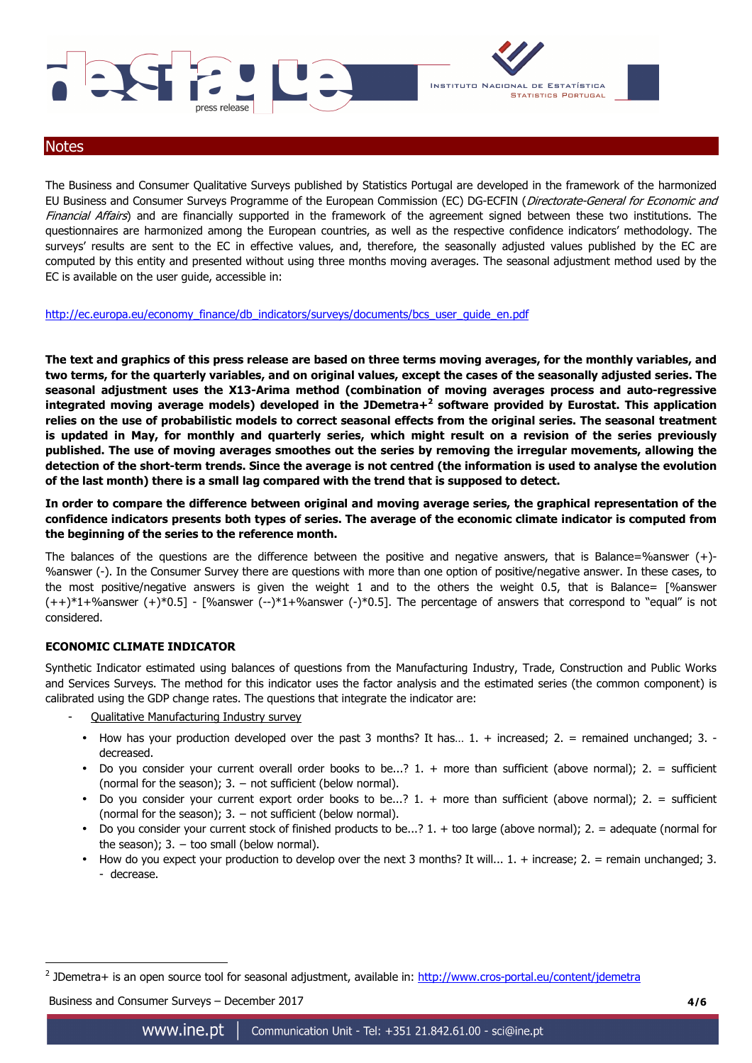



#### **Notes**

The Business and Consumer Qualitative Surveys published by Statistics Portugal are developed in the framework of the harmonized EU Business and Consumer Surveys Programme of the European Commission (EC) DG-ECFIN (Directorate-General for Economic and Financial Affairs) and are financially supported in the framework of the agreement signed between these two institutions. The questionnaires are harmonized among the European countries, as well as the respective confidence indicators' methodology. The surveys' results are sent to the EC in effective values, and, therefore, the seasonally adjusted values published by the EC are computed by this entity and presented without using three months moving averages. The seasonal adjustment method used by the EC is available on the user guide, accessible in:

http://ec.europa.eu/economy\_finance/db\_indicators/surveys/documents/bcs\_user\_guide\_en.pdf

**The text and graphics of this press release are based on three terms moving averages, for the monthly variables, and two terms, for the quarterly variables, and on original values, except the cases of the seasonally adjusted series. The seasonal adjustment uses the X13-Arima method (combination of moving averages process and auto-regressive integrated moving average models) developed in the JDemetra+<sup>2</sup> software provided by Eurostat. This application relies on the use of probabilistic models to correct seasonal effects from the original series. The seasonal treatment is updated in May, for monthly and quarterly series, which might result on a revision of the series previously published. The use of moving averages smoothes out the series by removing the irregular movements, allowing the detection of the short-term trends. Since the average is not centred (the information is used to analyse the evolution of the last month) there is a small lag compared with the trend that is supposed to detect.** 

**In order to compare the difference between original and moving average series, the graphical representation of the confidence indicators presents both types of series. The average of the economic climate indicator is computed from the beginning of the series to the reference month.** 

The balances of the questions are the difference between the positive and negative answers, that is Balance=%answer  $(+)$ -%answer (-). In the Consumer Survey there are questions with more than one option of positive/negative answer. In these cases, to the most positive/negative answers is given the weight 1 and to the others the weight 0.5, that is Balance= [%answer  $(++)^*1+%$ answer  $(+)^*0.5$ ] - [%answer  $(-)^*1+%$ answer  $(-)^*0.5$ ]. The percentage of answers that correspond to "equal" is not considered.

## **ECONOMIC CLIMATE INDICATOR**

Synthetic Indicator estimated using balances of questions from the Manufacturing Industry, Trade, Construction and Public Works and Services Surveys. The method for this indicator uses the factor analysis and the estimated series (the common component) is calibrated using the GDP change rates. The questions that integrate the indicator are:

- Qualitative Manufacturing Industry survey
- How has your production developed over the past 3 months? It has… 1. + increased; 2. = remained unchanged; 3. decreased.
- Do you consider your current overall order books to be...? 1. + more than sufficient (above normal); 2. = sufficient (normal for the season);  $3. -$  not sufficient (below normal).
- Do you consider your current export order books to be...?  $1. +$  more than sufficient (above normal);  $2. =$  sufficient (normal for the season);  $3. -$  not sufficient (below normal).
- Do you consider your current stock of finished products to be...? 1. + too large (above normal); 2. = adequate (normal for the season);  $3. -$  too small (below normal).
- How do you expect your production to develop over the next 3 months? It will...  $1. +$  increase;  $2. =$  remain unchanged; 3. - decrease.

Business and Consumer Surveys – December 2017 **4/6**

 $\overline{a}$ 

<sup>&</sup>lt;sup>2</sup> JDemetra+ is an open source tool for seasonal adjustment, available in: http://www.cros-portal.eu/content/jdemetra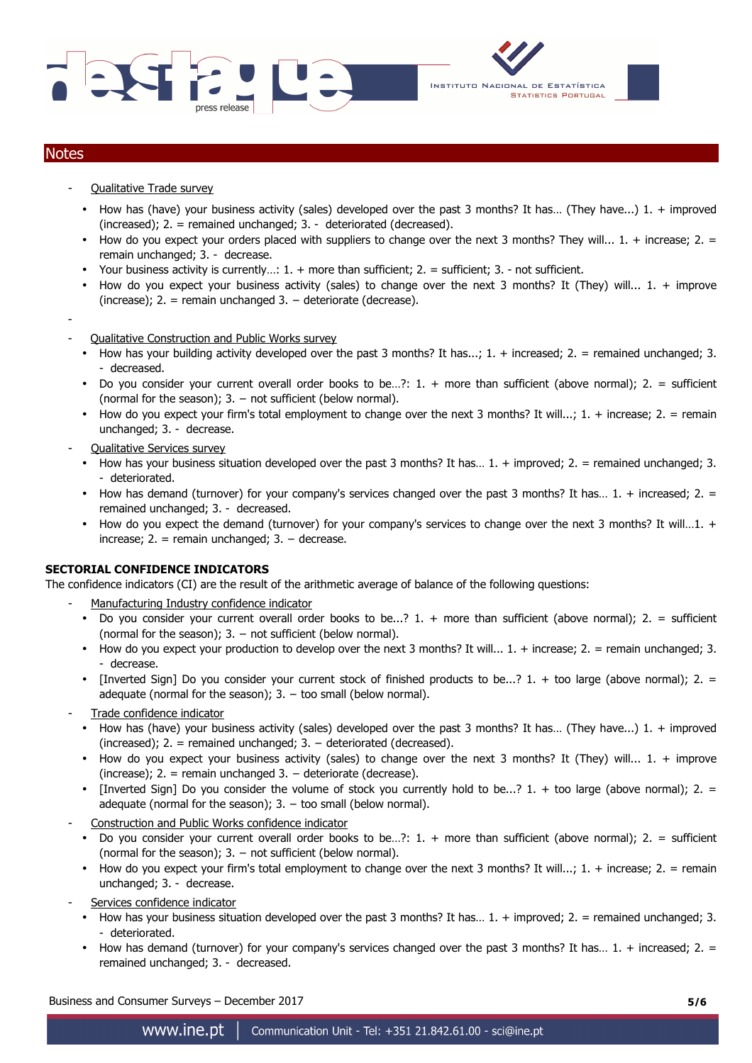





## **Notes**

- Qualitative Trade survey
	- How has (have) your business activity (sales) developed over the past 3 months? It has… (They have...) 1. + improved (increased); 2. = remained unchanged; 3. - deteriorated (decreased).
	- How do you expect your orders placed with suppliers to change over the next 3 months? They will... 1. + increase; 2. = remain unchanged; 3. - decrease.
	- Your business activity is currently...:  $1. +$  more than sufficient;  $2. =$  sufficient;  $3. -$  not sufficient.
	- How do you expect your business activity (sales) to change over the next 3 months? It (They) will... 1. + improve (increase); 2. = remain unchanged  $3. -$  deteriorate (decrease).
- - Qualitative Construction and Public Works survey
	- How has your building activity developed over the past 3 months? It has...;  $1. +$  increased;  $2. =$  remained unchanged; 3. - decreased.
	- Do you consider your current overall order books to be…?: 1. + more than sufficient (above normal); 2. = sufficient (normal for the season);  $3. -$  not sufficient (below normal).
	- How do you expect your firm's total employment to change over the next 3 months? It will...;  $1. +$  increase;  $2. =$  remain unchanged; 3. - decrease.
- Qualitative Services survey
	- How has your business situation developed over the past  $3$  months? It has...  $1. +$  improved;  $2. =$  remained unchanged;  $3.$ - deteriorated.
	- How has demand (turnover) for your company's services changed over the past 3 months? It has… 1. + increased; 2. = remained unchanged; 3. - decreased.
	- How do you expect the demand (turnover) for your company's services to change over the next 3 months? It will...1. + increase;  $2. =$  remain unchanged;  $3. -$  decrease.

## **SECTORIAL CONFIDENCE INDICATORS**

The confidence indicators (CI) are the result of the arithmetic average of balance of the following questions:

- Manufacturing Industry confidence indicator
- Do you consider your current overall order books to be...?  $1. +$  more than sufficient (above normal);  $2. =$  sufficient (normal for the season);  $3. -$  not sufficient (below normal).
- How do you expect your production to develop over the next 3 months? It will...  $1. +$  increase;  $2. =$  remain unchanged; 3. - decrease.
- [Inverted Sign] Do you consider your current stock of finished products to be...?  $1. +$  too large (above normal);  $2. =$ adequate (normal for the season);  $3. -$  too small (below normal).
- Trade confidence indicator
	- How has (have) your business activity (sales) developed over the past 3 months? It has... (They have...)  $1. +$  improved (increased);  $2. =$  remained unchanged;  $3. -$  deteriorated (decreased).
	- How do you expect your business activity (sales) to change over the next 3 months? It (They) will... 1. + improve (increase); 2. = remain unchanged 3. − deteriorate (decrease).
- [Inverted Sign] Do you consider the volume of stock you currently hold to be...? 1. + too large (above normal); 2. = adequate (normal for the season);  $3. -$  too small (below normal).
- Construction and Public Works confidence indicator
	- Do you consider your current overall order books to be...?: 1. + more than sufficient (above normal); 2. = sufficient (normal for the season);  $3. -$  not sufficient (below normal).
	- How do you expect your firm's total employment to change over the next 3 months? It will...; 1. + increase; 2. = remain unchanged; 3. - decrease.
- Services confidence indicator
	- How has your business situation developed over the past 3 months? It has… 1. + improved; 2. = remained unchanged; 3. - deteriorated.
	- How has demand (turnover) for your company's services changed over the past 3 months? It has...  $1. +$  increased;  $2. =$ remained unchanged; 3. - decreased.

Business and Consumer Surveys – December 2017 **5/6**